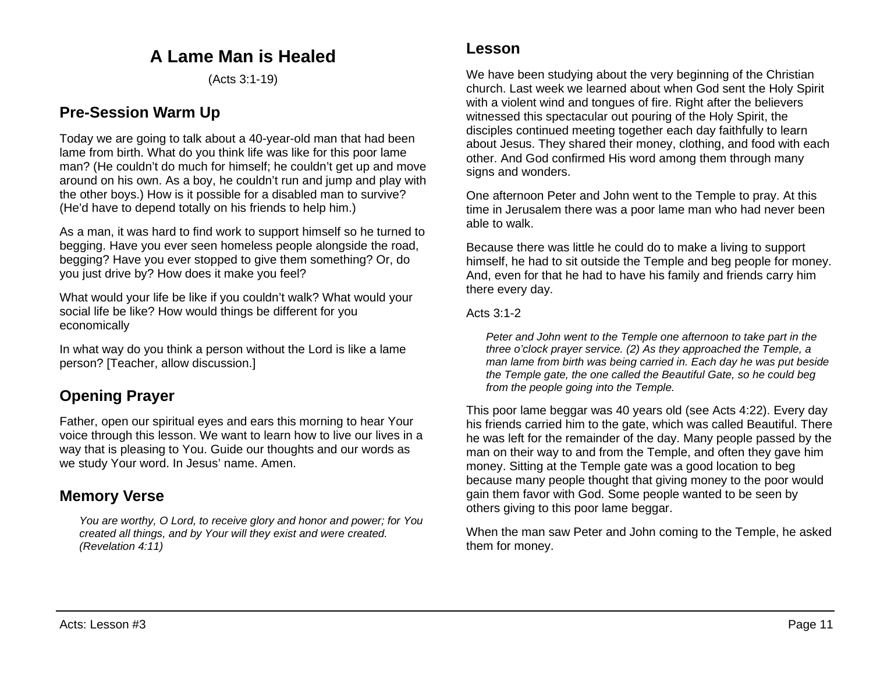# **A Lame Man is Healed**

(Acts 3:1-19)

## **Pre-Session Warm Up**

Today we are going to talk about a 40-year-old man that had been lame from birth. What do you think life was like for this poor lame man? (He couldn't do much for himself; he couldn't get up and move around on his own. As a boy, he couldn't run and jump and play with the other boys.) How is it possible for a disabled man to survive? (He'd have to depend totally on his friends to help him.)

As a man, it was hard to find work to support himself so he turned to begging. Have you ever seen homeless people alongside the road, begging? Have you ever stopped to give them something? Or, do you just drive by? How does it make you feel?

What would your life be like if you couldn't walk? What would your social life be like? How would things be different for you economically

In what way do you think a person without the Lord is like a lame person? [Teacher, allow discussion.]

# **Opening Prayer**

Father, open our spiritual eyes and ears this morning to hear Your voice through this lesson. We want to learn how to live our lives in a way that is pleasing to You. Guide our thoughts and our words as we study Your word. In Jesus' name. Amen.

## **Memory Verse**

*You are worthy, O Lord, to receive glory and honor and power; for You created all things, and by Your will they exist and were created. (Revelation 4:11)*

We have been studying about the very beginning of the Christian church. Last week we learned about when God sent the Holy Spirit with a violent wind and tongues of fire. Right after the believers witnessed this spectacular out pouring of the Holy Spirit, the disciples continued meeting together each day faithfully to learn about Jesus. They shared their money, clothing, and food with each other. And God confirmed His word among them through many signs and wonders.

One afternoon Peter and John went to the Temple to pray. At this time in Jerusalem there was a poor lame man who had never been able to walk.

Because there was little he could do to make a living to support himself, he had to sit outside the Temple and beg people for money. And, even for that he had to have his family and friends carry him there every day.

Acts 3:1-2

*Peter and John went to the Temple one afternoon to take part in the three o'clock prayer service. (2) As they approached the Temple, a man lame from birth was being carried in. Each day he was put beside the Temple gate, the one called the Beautiful Gate, so he could beg from the people going into the Temple.*

This poor lame beggar was 40 years old (see Acts 4:22). Every day his friends carried him to the gate, which was called Beautiful. There he was left for the remainder of the day. Many people passed by the man on their way to and from the Temple, and often they gave him money. Sitting at the Temple gate was a good location to beg because many people thought that giving money to the poor would gain them favor with God. Some people wanted to be seen by others giving to this poor lame beggar.

When the man saw Peter and John coming to the Temple, he asked them for money.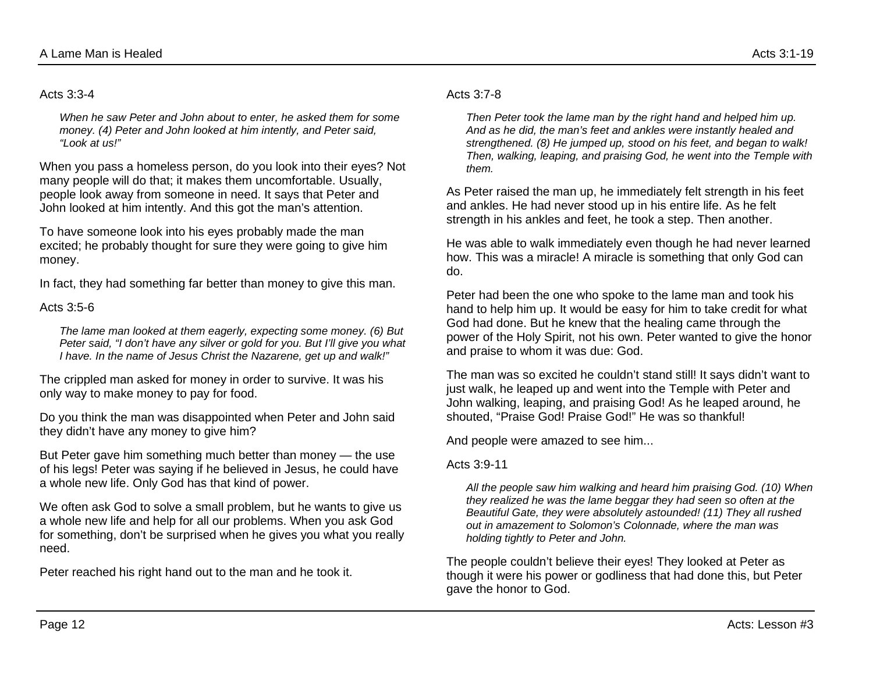#### Acts 3:3-4

*When he saw Peter and John about to enter, he asked them for some money. (4) Peter and John looked at him intently, and Peter said, "Look at us!"*

When you pass a homeless person, do you look into their eyes? Not many people will do that; it makes them uncomfortable. Usually, people look away from someone in need. It says that Peter and John looked at him intently. And this got the man's attention.

To have someone look into his eyes probably made the man excited; he probably thought for sure they were going to give him money.

In fact, they had something far better than money to give this man.

Acts  $3:5-6$ 

*The lame man looked at them eagerly, expecting some money. (6) But Peter said, "I don't have any silver or gold for you. But I'll give you what I have. In the name of Jesus Christ the Nazarene, get up and walk!"*

The crippled man asked for money in order to survive. It was his only way to make money to pay for food.

Do you think the man was disappointed when Peter and John said they didn't have any money to give him?

But Peter gave him something much better than money — the use of his legs! Peter was saying if he believed in Jesus, he could have a whole new life. Only God has that kind of power.

We often ask God to solve a small problem, but he wants to give us a whole new life and help for all our problems. When you ask God for something, don't be surprised when he gives you what you really need.

Peter reached his right hand out to the man and he took it.

#### Acts  $3.7 - 8$

*Then Peter took the lame man by the right hand and helped him up. And as he did, the man's feet and ankles were instantly healed and strengthened. (8) He jumped up, stood on his feet, and began to walk! Then, walking, leaping, and praising God, he went into the Temple with them.*

As Peter raised the man up, he immediately felt strength in his feet and ankles. He had never stood up in his entire life. As he felt strength in his ankles and feet, he took a step. Then another.

He was able to walk immediately even though he had never learned how. This was a miracle! A miracle is something that only God can do.

Peter had been the one who spoke to the lame man and took his hand to help him up. It would be easy for him to take credit for what God had done. But he knew that the healing came through the power of the Holy Spirit, not his own. Peter wanted to give the honor and praise to whom it was due: God.

The man was so excited he couldn't stand still! It says didn't want to just walk, he leaped up and went into the Temple with Peter and John walking, leaping, and praising God! As he leaped around, he shouted, "Praise God! Praise God!" He was so thankful!

And people were amazed to see him...

#### Acts 3:9-11

*All the people saw him walking and heard him praising God. (10) When they realized he was the lame beggar they had seen so often at the Beautiful Gate, they were absolutely astounded! (11) They all rushed out in amazement to Solomon's Colonnade, where the man was holding tightly to Peter and John.*

The people couldn't believe their eyes! They looked at Peter as though it were his power or godliness that had done this, but Peter gave the honor to God.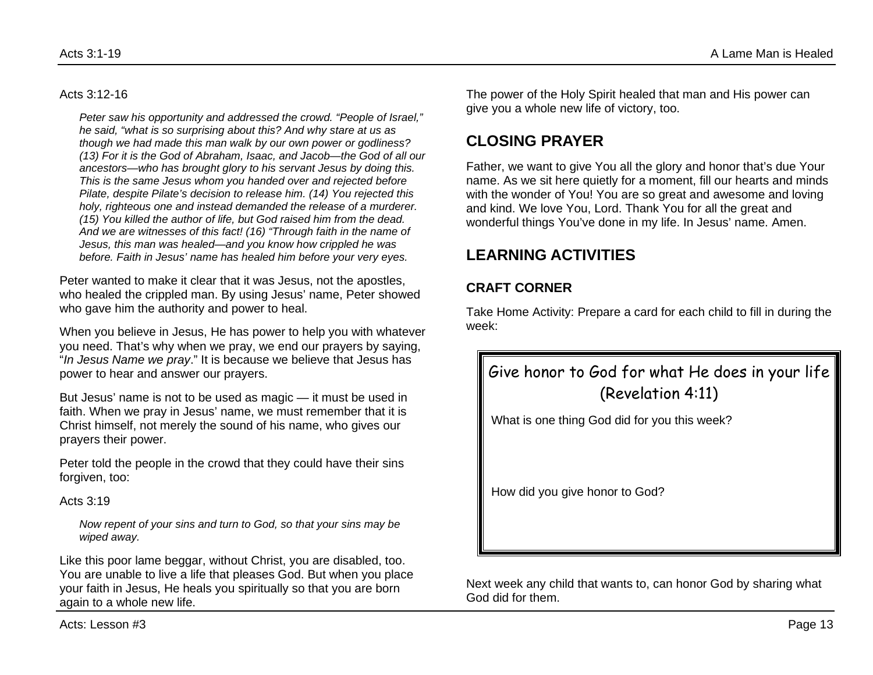#### Acts 3:12-16

*Peter saw his opportunity and addressed the crowd. "People of Israel," he said, "what is so surprising about this? And why stare at us as though we had made this man walk by our own power or godliness? (13) For it is the God of Abraham, Isaac, and Jacob—the God of all our ancestors—who has brought glory to his servant Jesus by doing this. This is the same Jesus whom you handed over and rejected before Pilate, despite Pilate's decision to release him. (14) You rejected this holy, righteous one and instead demanded the release of a murderer. (15) You killed the author of life, but God raised him from the dead. And we are witnesses of this fact! (16) "Through faith in the name of Jesus, this man was healed—and you know how crippled he was before. Faith in Jesus' name has healed him before your very eyes.*

Peter wanted to make it clear that it was Jesus, not the apostles, who healed the crippled man. By using Jesus' name, Peter showed who gave him the authority and power to heal.

When you believe in Jesus, He has power to help you with whatever you need. That's why when we pray, we end our prayers by saying, "*In Jesus Name we pray*." It is because we believe that Jesus has power to hear and answer our prayers.

But Jesus' name is not to be used as magic — it must be used in faith. When we pray in Jesus' name, we must remember that it is Christ himself, not merely the sound of his name, who gives our prayers their power.

Peter told the people in the crowd that they could have their sins forgiven, too:

Acts 3:19

*Now repent of your sins and turn to God, so that your sins may be wiped away.*

Like this poor lame beggar, without Christ, you are disabled, too. You are unable to live a life that pleases God. But when you place your faith in Jesus, He heals you spiritually so that you are born again to a whole new life.

The power of the Holy Spirit healed that man and His power can give you a whole new life of victory, too.

## **CLOSING PRAYER**

Father, we want to give You all the glory and honor that's due Your name. As we sit here quietly for a moment, fill our hearts and minds with the wonder of You! You are so great and awesome and loving and kind. We love You, Lord. Thank You for all the great and wonderful things You've done in my life. In Jesus' name. Amen.

# **LEARNING ACTIVITIES**

### **CRAFT CORNER**

Take Home Activity: Prepare a card for each child to fill in during the week:

# Give honor to God for what He does in your life (Revelation 4:11)

What is one thing God did for you this week?

How did you give honor to God?

Next week any child that wants to, can honor God by sharing what God did for them.

Acts: Lesson #3 Page 13